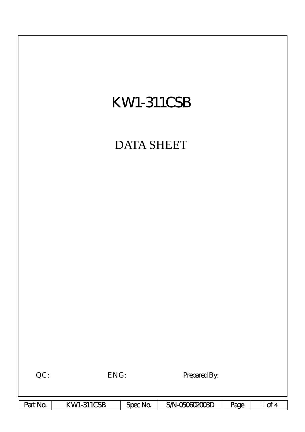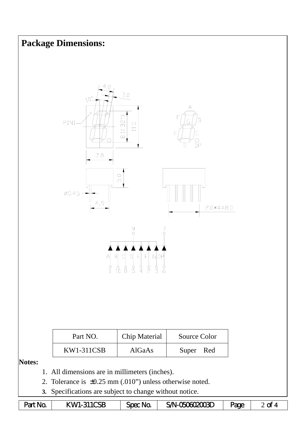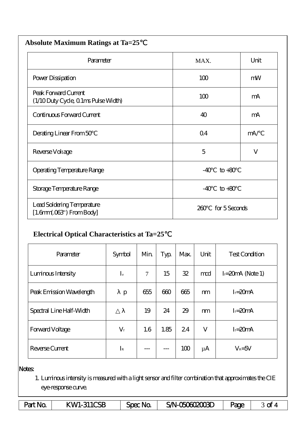| <b>Absolute Maximum Ratings at Ta=25</b>                           |                |               |  |  |  |  |  |
|--------------------------------------------------------------------|----------------|---------------|--|--|--|--|--|
| Parameter                                                          | MAX.           | Unit          |  |  |  |  |  |
| Power Dissipation                                                  | 100            | mW            |  |  |  |  |  |
| Peak Forward Current<br>(1/10 Duty Cycle, 0 1ms Pulse Width)       | 100            | mA            |  |  |  |  |  |
| Continuous Forward Current                                         | 40             | mA            |  |  |  |  |  |
| Derating Linear From 50                                            | Q <sub>4</sub> | mA/           |  |  |  |  |  |
| Reverse Voltage                                                    | 5              | V             |  |  |  |  |  |
| <b>Operating Temperature Range</b>                                 | $-40$          | $to +80$      |  |  |  |  |  |
| Storage Temperature Range                                          | $-40$          | $to +80$      |  |  |  |  |  |
| Lead Soldering Temperature<br>$[1.6mm.03$ <sup>"</sup> ) From Body | 200            | for 5 Seconds |  |  |  |  |  |

## **Electrical Optical Characteristics at Ta=25**℃

| Parameter                | Symbol      | Min    | Typ  | Max. | Unit    | <b>Test Condition</b> |  |
|--------------------------|-------------|--------|------|------|---------|-----------------------|--|
| Luninous Intensity       | $I_{v}$     | $\tau$ | 15   | 32   | mod     | $I = 20mA$ (Note 1)   |  |
| Peak Emission Wavelength | p           | 655    | 600  | 665  | m       | $I = 20mA$            |  |
| Spectral Line Half-Width |             | 19     | 24   | 29   | m       | $I = 20mA$            |  |
| Forward Voltage          | $V_{\rm f}$ | 1.6    | 1.85 | 24   | V       | $I = 20mA$            |  |
| Reverse Current          | $I_{R}$     |        |      | 100  | $\mu A$ | $V_R = 5V$            |  |

## Notes:

1. Luminous intensity is measured with a light sensor and filter combination that approximates the CIE eye-response curve.

| Part No | KWI-311CSB | Spec No. | SA-060602003D | Page |  |
|---------|------------|----------|---------------|------|--|
|---------|------------|----------|---------------|------|--|